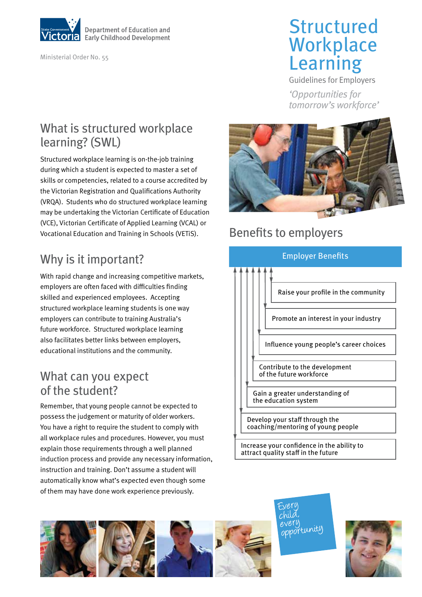

Ministerial Order No. 55

# **Structured Workplace** Learning

Guidelines for Employers

*'Opportunities for tomorrow's workforce'*

#### What is structured workplace learning? (SWL)

Structured workplace learning is on-the-job training during which a student is expected to master a set of skills or competencies, related to a course accredited by the Victorian Registration and Qualifications Authority (VRQA). Students who do structured workplace learning may be undertaking the Victorian Certificate of Education (VCE), Victorian Certificate of Applied Learning (VCAL) or Vocational Education and Training in Schools (VETiS).

## Why is it important?

With rapid change and increasing competitive markets, employers are often faced with difficulties finding skilled and experienced employees. Accepting structured workplace learning students is one way employers can contribute to training Australia's future workforce. Structured workplace learning also facilitates better links between employers, educational institutions and the community.

#### What can you expect of the student?

Remember, that young people cannot be expected to possess the judgement or maturity of older workers. You have a right to require the student to comply with all workplace rules and procedures. However, you must explain those requirements through a well planned induction process and provide any necessary information, instruction and training. Don't assume a student will automatically know what's expected even though some of them may have done work experience previously.



## Benefits to employers





every<br>opportunity

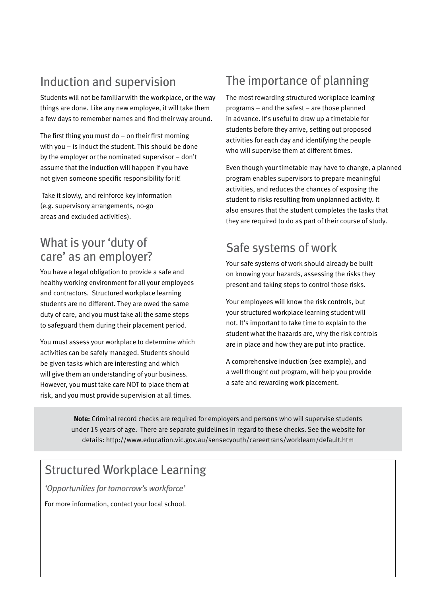## Induction and supervision

Students will not be familiar with the workplace, or the way things are done. Like any new employee, it will take them a few days to remember names and find their way around.

The first thing you must do  $-$  on their first morning with you – is induct the student. This should be done by the employer or the nominated supervisor – don't assume that the induction will happen if you have not given someone specific responsibility for it!

 Take it slowly, and reinforce key information (e.g. supervisory arrangements, no-go areas and excluded activities).

#### What is your 'duty of care' as an employer?

You have a legal obligation to provide a safe and healthy working environment for all your employees and contractors. Structured workplace learning students are no different. They are owed the same duty of care, and you must take all the same steps to safeguard them during their placement period.

You must assess your workplace to determine which activities can be safely managed. Students should be given tasks which are interesting and which will give them an understanding of your business. However, you must take care NOT to place them at risk, and you must provide supervision at all times.

## The importance of planning

The most rewarding structured workplace learning programs – and the safest – are those planned in advance. It's useful to draw up a timetable for students before they arrive, setting out proposed activities for each day and identifying the people who will supervise them at different times.

Even though your timetable may have to change, a planned program enables supervisors to prepare meaningful activities, and reduces the chances of exposing the student to risks resulting from unplanned activity. It also ensures that the student completes the tasks that they are required to do as part of their course of study.

#### Safe systems of work

Your safe systems of work should already be built on knowing your hazards, assessing the risks they present and taking steps to control those risks.

Your employees will know the risk controls, but your structured workplace learning student will not. It's important to take time to explain to the student what the hazards are, why the risk controls are in place and how they are put into practice.

A comprehensive induction (see example), and a well thought out program, will help you provide a safe and rewarding work placement.

**Note:** Criminal record checks are required for employers and persons who will supervise students under 15 years of age. There are separate guidelines in regard to these checks. See the website for details: http://www.education.vic.gov.au/sensecyouth/careertrans/worklearn/default.htm

### Structured Workplace Learning

*'Opportunities for tomorrow's workforce'*

For more information, contact your local school.